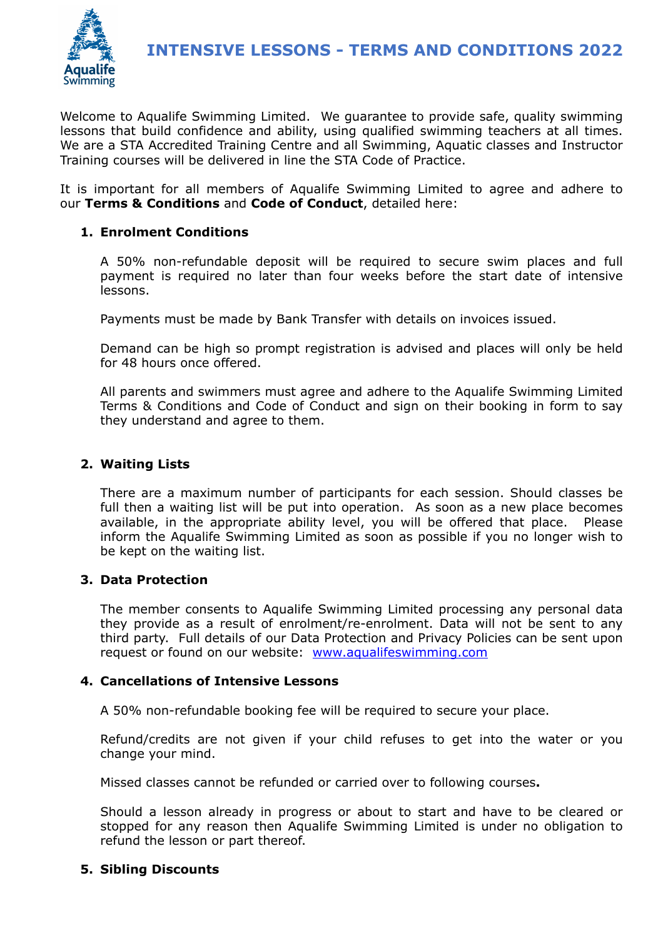

Welcome to Aqualife Swimming Limited. We guarantee to provide safe, quality swimming lessons that build confidence and ability, using qualified swimming teachers at all times. We are a STA Accredited Training Centre and all Swimming, Aquatic classes and Instructor Training courses will be delivered in line the STA Code of Practice.

It is important for all members of Aqualife Swimming Limited to agree and adhere to our **Terms & Conditions** and **Code of Conduct**, detailed here:

# **1. Enrolment Conditions**

A 50% non-refundable deposit will be required to secure swim places and full payment is required no later than four weeks before the start date of intensive lessons.

Payments must be made by Bank Transfer with details on invoices issued.

Demand can be high so prompt registration is advised and places will only be held for 48 hours once offered.

All parents and swimmers must agree and adhere to the Aqualife Swimming Limited Terms & Conditions and Code of Conduct and sign on their booking in form to say they understand and agree to them.

# **2. Waiting Lists**

There are a maximum number of participants for each session. Should classes be full then a waiting list will be put into operation. As soon as a new place becomes available, in the appropriate ability level, you will be offered that place. Please inform the Aqualife Swimming Limited as soon as possible if you no longer wish to be kept on the waiting list.

# **3. Data Protection**

The member consents to Aqualife Swimming Limited processing any personal data they provide as a result of enrolment/re-enrolment. Data will not be sent to any third party. Full details of our Data Protection and Privacy Policies can be sent upon request or found on our website: [www.aqualifeswimming.com](http://www.aqualifeswimming.com)

# **4. Cancellations of Intensive Lessons**

A 50% non-refundable booking fee will be required to secure your place.

Refund/credits are not given if your child refuses to get into the water or you change your mind.

Missed classes cannot be refunded or carried over to following courses**.** 

Should a lesson already in progress or about to start and have to be cleared or stopped for any reason then Aqualife Swimming Limited is under no obligation to refund the lesson or part thereof.

# **5. Sibling Discounts**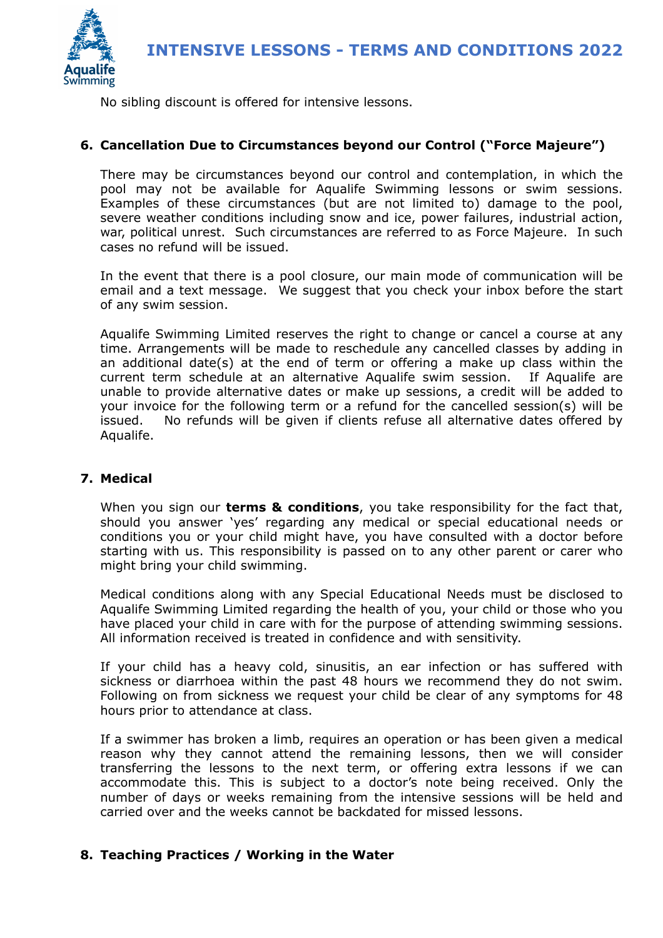

No sibling discount is offered for intensive lessons.

# **6. Cancellation Due to Circumstances beyond our Control ("Force Majeure")**

There may be circumstances beyond our control and contemplation, in which the pool may not be available for Aqualife Swimming lessons or swim sessions. Examples of these circumstances (but are not limited to) damage to the pool, severe weather conditions including snow and ice, power failures, industrial action, war, political unrest. Such circumstances are referred to as Force Majeure. In such cases no refund will be issued.

In the event that there is a pool closure, our main mode of communication will be email and a text message. We suggest that you check your inbox before the start of any swim session.

Aqualife Swimming Limited reserves the right to change or cancel a course at any time. Arrangements will be made to reschedule any cancelled classes by adding in an additional date(s) at the end of term or offering a make up class within the current term schedule at an alternative Aqualife swim session. If Aqualife are unable to provide alternative dates or make up sessions, a credit will be added to your invoice for the following term or a refund for the cancelled session(s) will be issued. No refunds will be given if clients refuse all alternative dates offered by Aqualife.

#### **7. Medical**

When you sign our **terms & conditions**, you take responsibility for the fact that, should you answer 'yes' regarding any medical or special educational needs or conditions you or your child might have, you have consulted with a doctor before starting with us. This responsibility is passed on to any other parent or carer who might bring your child swimming.

Medical conditions along with any Special Educational Needs must be disclosed to Aqualife Swimming Limited regarding the health of you, your child or those who you have placed your child in care with for the purpose of attending swimming sessions. All information received is treated in confidence and with sensitivity.

If your child has a heavy cold, sinusitis, an ear infection or has suffered with sickness or diarrhoea within the past 48 hours we recommend they do not swim. Following on from sickness we request your child be clear of any symptoms for 48 hours prior to attendance at class.

If a swimmer has broken a limb, requires an operation or has been given a medical reason why they cannot attend the remaining lessons, then we will consider transferring the lessons to the next term, or offering extra lessons if we can accommodate this. This is subject to a doctor's note being received. Only the number of days or weeks remaining from the intensive sessions will be held and carried over and the weeks cannot be backdated for missed lessons.

# **8. Teaching Practices / Working in the Water**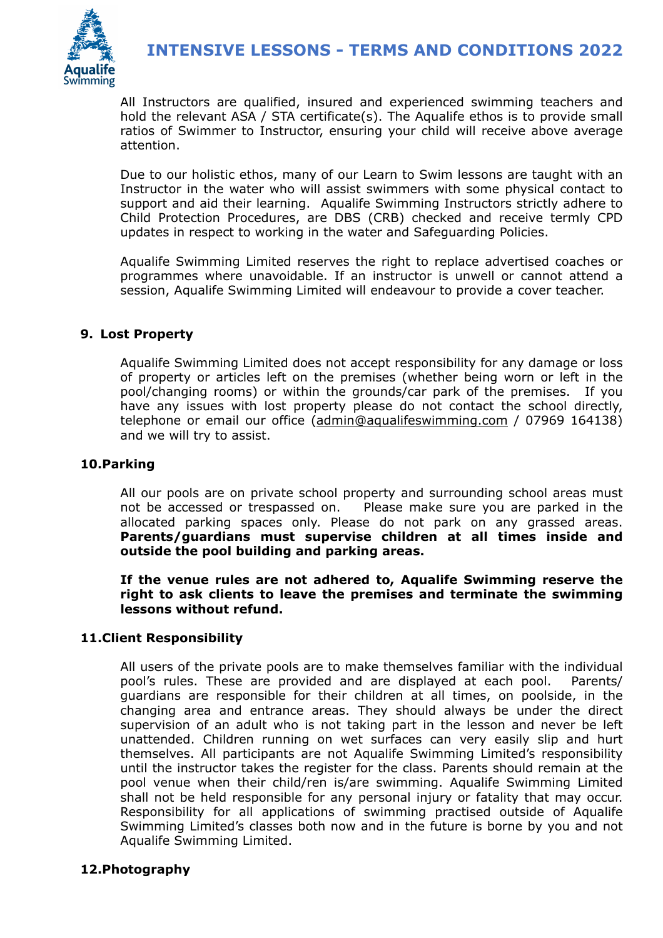

All Instructors are qualified, insured and experienced swimming teachers and hold the relevant ASA / STA certificate(s). The Aqualife ethos is to provide small ratios of Swimmer to Instructor, ensuring your child will receive above average attention.

Due to our holistic ethos, many of our Learn to Swim lessons are taught with an Instructor in the water who will assist swimmers with some physical contact to support and aid their learning. Aqualife Swimming Instructors strictly adhere to Child Protection Procedures, are DBS (CRB) checked and receive termly CPD updates in respect to working in the water and Safeguarding Policies.

Aqualife Swimming Limited reserves the right to replace advertised coaches or programmes where unavoidable. If an instructor is unwell or cannot attend a session, Aqualife Swimming Limited will endeavour to provide a cover teacher.

# **9. Lost Property**

Aqualife Swimming Limited does not accept responsibility for any damage or loss of property or articles left on the premises (whether being worn or left in the pool/changing rooms) or within the grounds/car park of the premises. If you have any issues with lost property please do not contact the school directly, telephone or email our office [\(admin@aqualifeswimming.com](mailto:admin@aqualifeswimming.com) / 07969 164138) and we will try to assist.

# **10.Parking**

All our pools are on private school property and surrounding school areas must not be accessed or trespassed on. Please make sure you are parked in the allocated parking spaces only. Please do not park on any grassed areas. **Parents/guardians must supervise children at all times inside and outside the pool building and parking areas.** 

**If the venue rules are not adhered to, Aqualife Swimming reserve the right to ask clients to leave the premises and terminate the swimming lessons without refund.**

# **11.Client Responsibility**

All users of the private pools are to make themselves familiar with the individual pool's rules. These are provided and are displayed at each pool. Parents/ guardians are responsible for their children at all times, on poolside, in the changing area and entrance areas. They should always be under the direct supervision of an adult who is not taking part in the lesson and never be left unattended. Children running on wet surfaces can very easily slip and hurt themselves. All participants are not Aqualife Swimming Limited's responsibility until the instructor takes the register for the class. Parents should remain at the pool venue when their child/ren is/are swimming. Aqualife Swimming Limited shall not be held responsible for any personal injury or fatality that may occur. Responsibility for all applications of swimming practised outside of Aqualife Swimming Limited's classes both now and in the future is borne by you and not Aqualife Swimming Limited.

# **12.Photography**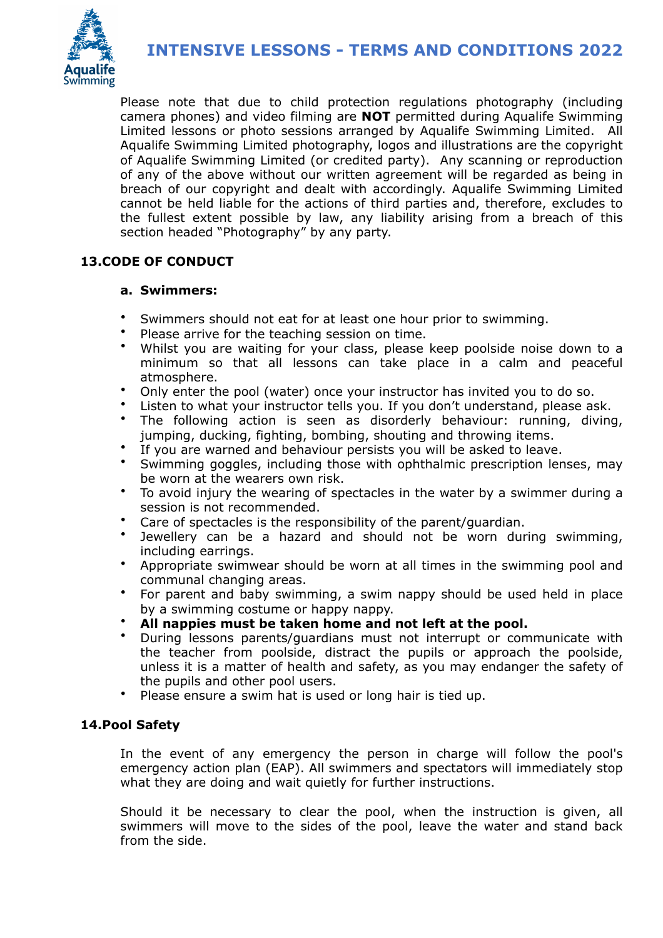

Please note that due to child protection regulations photography (including camera phones) and video filming are **NOT** permitted during Aqualife Swimming Limited lessons or photo sessions arranged by Aqualife Swimming Limited. All Aqualife Swimming Limited photography, logos and illustrations are the copyright of Aqualife Swimming Limited (or credited party). Any scanning or reproduction of any of the above without our written agreement will be regarded as being in breach of our copyright and dealt with accordingly. Aqualife Swimming Limited cannot be held liable for the actions of third parties and, therefore, excludes to the fullest extent possible by law, any liability arising from a breach of this section headed "Photography" by any party.

# **13.CODE OF CONDUCT**

# **a. Swimmers:**

- Swimmers should not eat for at least one hour prior to swimming.
- Please arrive for the teaching session on time.
- Whilst you are waiting for your class, please keep poolside noise down to a minimum so that all lessons can take place in a calm and peaceful atmosphere.
- Only enter the pool (water) once your instructor has invited you to do so.
- Listen to what your instructor tells you. If you don't understand, please ask.
- The following action is seen as disorderly behaviour: running, diving, jumping, ducking, fighting, bombing, shouting and throwing items.
- If you are warned and behaviour persists you will be asked to leave.
- Swimming goggles, including those with ophthalmic prescription lenses, may be worn at the wearers own risk.
- To avoid injury the wearing of spectacles in the water by a swimmer during a session is not recommended.
- Care of spectacles is the responsibility of the parent/guardian.
- Jewellery can be a hazard and should not be worn during swimming, including earrings.
- Appropriate swimwear should be worn at all times in the swimming pool and communal changing areas.
- For parent and baby swimming, a swim nappy should be used held in place by a swimming costume or happy nappy.
- **All nappies must be taken home and not left at the pool.**
- During lessons parents/guardians must not interrupt or communicate with the teacher from poolside, distract the pupils or approach the poolside, unless it is a matter of health and safety, as you may endanger the safety of the pupils and other pool users.
- Please ensure a swim hat is used or long hair is tied up.

# **14.Pool Safety**

In the event of any emergency the person in charge will follow the pool's emergency action plan (EAP). All swimmers and spectators will immediately stop what they are doing and wait quietly for further instructions.

Should it be necessary to clear the pool, when the instruction is given, all swimmers will move to the sides of the pool, leave the water and stand back from the side.